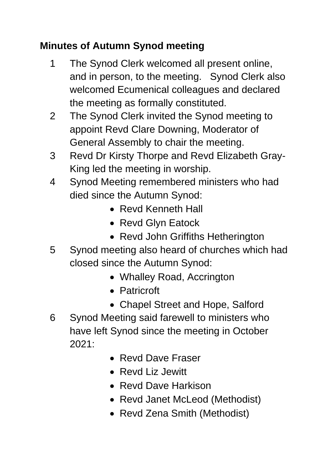# **Minutes of Autumn Synod meeting**

- 1 The Synod Clerk welcomed all present online, and in person, to the meeting. Synod Clerk also welcomed Ecumenical colleagues and declared the meeting as formally constituted.
- 2 The Synod Clerk invited the Synod meeting to appoint Revd Clare Downing, Moderator of General Assembly to chair the meeting.
- 3 Revd Dr Kirsty Thorpe and Revd Elizabeth Gray-King led the meeting in worship.
- 4 Synod Meeting remembered ministers who had died since the Autumn Synod:
	- Revd Kenneth Hall
	- Revd Glyn Eatock
	- Revd John Griffiths Hetherington
- 5 Synod meeting also heard of churches which had closed since the Autumn Synod:
	- Whalley Road, Accrington
	- Patricroft
	- Chapel Street and Hope, Salford
- 6 Synod Meeting said farewell to ministers who have left Synod since the meeting in October 2021:
	- Revd Dave Fraser
	- Revd Liz Jewitt
	- Revd Dave Harkison
	- Revd Janet McLeod (Methodist)
	- Revd Zena Smith (Methodist)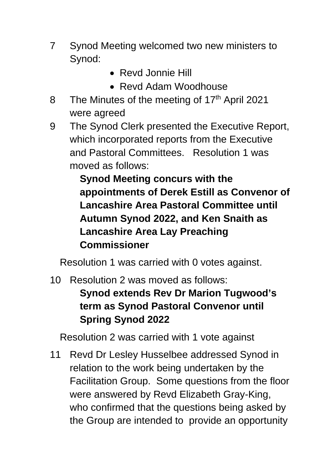- 7 Synod Meeting welcomed two new ministers to Synod:
	- Revd Jonnie Hill
	- Revd Adam Woodhouse
- 8 The Minutes of the meeting of 17<sup>th</sup> April 2021 were agreed
- 9 The Synod Clerk presented the Executive Report, which incorporated reports from the Executive and Pastoral Committees. Resolution 1 was moved as follows:

**Synod Meeting concurs with the appointments of Derek Estill as Convenor of Lancashire Area Pastoral Committee until Autumn Synod 2022, and Ken Snaith as Lancashire Area Lay Preaching Commissioner**

Resolution 1 was carried with 0 votes against.

10 Resolution 2 was moved as follows:

# **Synod extends Rev Dr Marion Tugwood's term as Synod Pastoral Convenor until Spring Synod 2022**

Resolution 2 was carried with 1 vote against

11 Revd Dr Lesley Husselbee addressed Synod in relation to the work being undertaken by the Facilitation Group. Some questions from the floor were answered by Revd Elizabeth Gray-King, who confirmed that the questions being asked by the Group are intended to provide an opportunity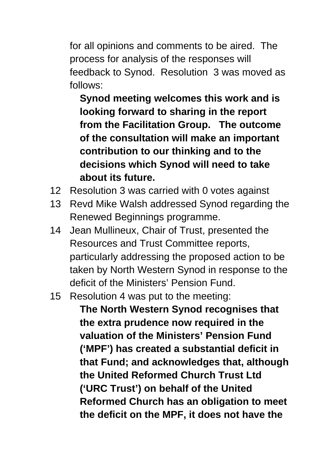for all opinions and comments to be aired. The process for analysis of the responses will feedback to Synod. Resolution 3 was moved as follows:

**Synod meeting welcomes this work and is looking forward to sharing in the report from the Facilitation Group. The outcome of the consultation will make an important contribution to our thinking and to the decisions which Synod will need to take about its future.**

- 12 Resolution 3 was carried with 0 votes against
- 13 Revd Mike Walsh addressed Synod regarding the Renewed Beginnings programme.
- 14 Jean Mullineux, Chair of Trust, presented the Resources and Trust Committee reports, particularly addressing the proposed action to be taken by North Western Synod in response to the deficit of the Ministers' Pension Fund.
- 15 Resolution 4 was put to the meeting:

**The North Western Synod recognises that the extra prudence now required in the valuation of the Ministers' Pension Fund ('MPF') has created a substantial deficit in that Fund; and acknowledges that, although the United Reformed Church Trust Ltd ('URC Trust') on behalf of the United Reformed Church has an obligation to meet the deficit on the MPF, it does not have the**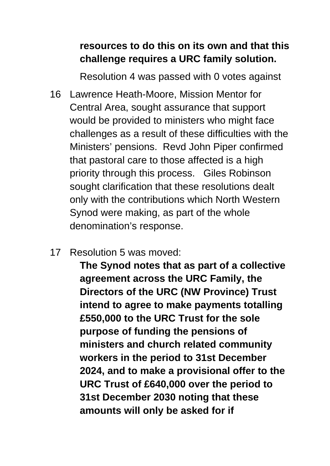### **resources to do this on its own and that this challenge requires a URC family solution.**

Resolution 4 was passed with 0 votes against

16 Lawrence Heath-Moore, Mission Mentor for Central Area, sought assurance that support would be provided to ministers who might face challenges as a result of these difficulties with the Ministers' pensions. Revd John Piper confirmed that pastoral care to those affected is a high priority through this process. Giles Robinson sought clarification that these resolutions dealt only with the contributions which North Western Synod were making, as part of the whole denomination's response.

#### 17 Resolution 5 was moved:

**The Synod notes that as part of a collective agreement across the URC Family, the Directors of the URC (NW Province) Trust intend to agree to make payments totalling £550,000 to the URC Trust for the sole purpose of funding the pensions of ministers and church related community workers in the period to 31st December 2024, and to make a provisional offer to the URC Trust of £640,000 over the period to 31st December 2030 noting that these amounts will only be asked for if**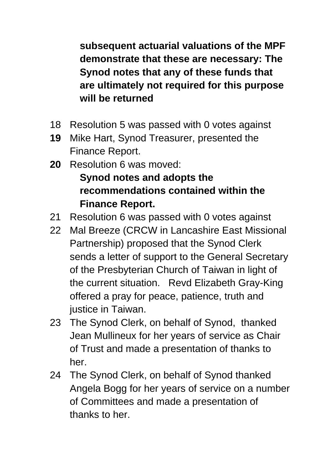**subsequent actuarial valuations of the MPF demonstrate that these are necessary: The Synod notes that any of these funds that are ultimately not required for this purpose will be returned**

- 18 Resolution 5 was passed with 0 votes against
- **19** Mike Hart, Synod Treasurer, presented the Finance Report.
- **20** Resolution 6 was moved: **Synod notes and adopts the recommendations contained within the Finance Report.**
- 21 Resolution 6 was passed with 0 votes against
- 22 Mal Breeze (CRCW in Lancashire East Missional Partnership) proposed that the Synod Clerk sends a letter of support to the General Secretary of the Presbyterian Church of Taiwan in light of the current situation. Revd Elizabeth Gray-King offered a pray for peace, patience, truth and justice in Taiwan.
- 23 The Synod Clerk, on behalf of Synod, thanked Jean Mullineux for her years of service as Chair of Trust and made a presentation of thanks to her.
- 24 The Synod Clerk, on behalf of Synod thanked Angela Bogg for her years of service on a number of Committees and made a presentation of thanks to her.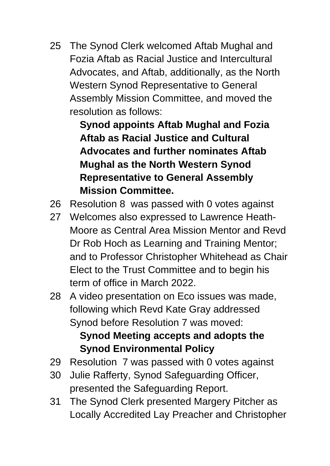25 The Synod Clerk welcomed Aftab Mughal and Fozia Aftab as Racial Justice and Intercultural Advocates, and Aftab, additionally, as the North Western Synod Representative to General Assembly Mission Committee, and moved the resolution as follows:

> **Synod appoints Aftab Mughal and Fozia Aftab as Racial Justice and Cultural Advocates and further nominates Aftab Mughal as the North Western Synod Representative to General Assembly Mission Committee.**

- 26 Resolution 8 was passed with 0 votes against
- 27 Welcomes also expressed to Lawrence Heath-Moore as Central Area Mission Mentor and Revd Dr Rob Hoch as Learning and Training Mentor; and to Professor Christopher Whitehead as Chair Elect to the Trust Committee and to begin his term of office in March 2022.
- 28 A video presentation on Eco issues was made, following which Revd Kate Gray addressed Synod before Resolution 7 was moved:

### **Synod Meeting accepts and adopts the Synod Environmental Policy**

- 29 Resolution 7 was passed with 0 votes against
- 30 Julie Rafferty, Synod Safeguarding Officer, presented the Safeguarding Report.
- 31 The Synod Clerk presented Margery Pitcher as Locally Accredited Lay Preacher and Christopher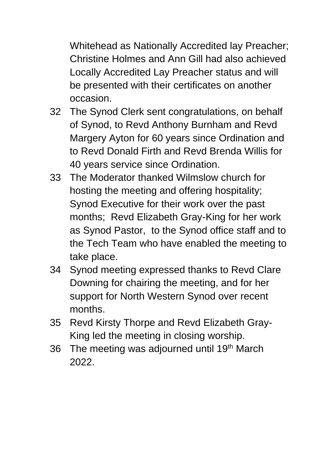Whitehead as Nationally Accredited lay Preacher; Christine Holmes and Ann Gill had also achieved Locally Accredited Lay Preacher status and will be presented with their certificates on another occasion.

- 32 The Synod Clerk sent congratulations, on behalf of Synod, to Revd Anthony Burnham and Revd Margery Ayton for 60 years since Ordination and to Revd Donald Firth and Revd Brenda Willis for 40 years service since Ordination.
- 33 The Moderator thanked Wilmslow church for hosting the meeting and offering hospitality; Synod Executive for their work over the past months; Revd Elizabeth Gray-King for her work as Synod Pastor, to the Synod office staff and to the Tech Team who have enabled the meeting to take place.
- 34 Synod meeting expressed thanks to Revd Clare Downing for chairing the meeting, and for her support for North Western Synod over recent months.
- 35 Revd Kirsty Thorpe and Revd Elizabeth Gray-King led the meeting in closing worship.
- 36 The meeting was adjourned until 19<sup>th</sup> March 2022.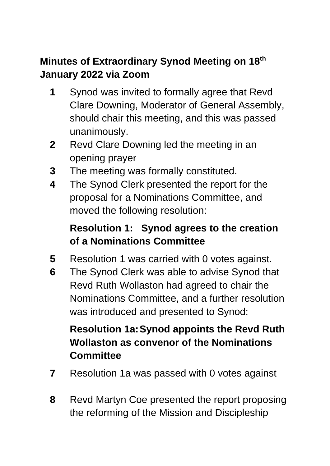## **Minutes of Extraordinary Synod Meeting on 18th January 2022 via Zoom**

- **1** Synod was invited to formally agree that Revd Clare Downing, Moderator of General Assembly, should chair this meeting, and this was passed unanimously.
- **2** Revd Clare Downing led the meeting in an opening prayer
- **3** The meeting was formally constituted.
- **4** The Synod Clerk presented the report for the proposal for a Nominations Committee, and moved the following resolution:

# **Resolution 1: Synod agrees to the creation of a Nominations Committee**

- **5** Resolution 1 was carried with 0 votes against.
- **6** The Synod Clerk was able to advise Synod that Revd Ruth Wollaston had agreed to chair the Nominations Committee, and a further resolution was introduced and presented to Synod:

# **Resolution 1a:Synod appoints the Revd Ruth Wollaston as convenor of the Nominations Committee**

- **7** Resolution 1a was passed with 0 votes against
- **8** Revd Martyn Coe presented the report proposing the reforming of the Mission and Discipleship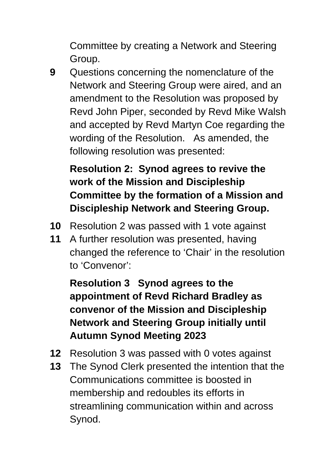Committee by creating a Network and Steering Group.

**9** Questions concerning the nomenclature of the Network and Steering Group were aired, and an amendment to the Resolution was proposed by Revd John Piper, seconded by Revd Mike Walsh and accepted by Revd Martyn Coe regarding the wording of the Resolution. As amended, the following resolution was presented:

**Resolution 2: Synod agrees to revive the work of the Mission and Discipleship Committee by the formation of a Mission and Discipleship Network and Steering Group.**

- **10** Resolution 2 was passed with 1 vote against
- **11** A further resolution was presented, having changed the reference to 'Chair' in the resolution to 'Convenor':

**Resolution 3 Synod agrees to the appointment of Revd Richard Bradley as convenor of the Mission and Discipleship Network and Steering Group initially until Autumn Synod Meeting 2023**

- **12** Resolution 3 was passed with 0 votes against
- **13** The Synod Clerk presented the intention that the Communications committee is boosted in membership and redoubles its efforts in streamlining communication within and across Synod.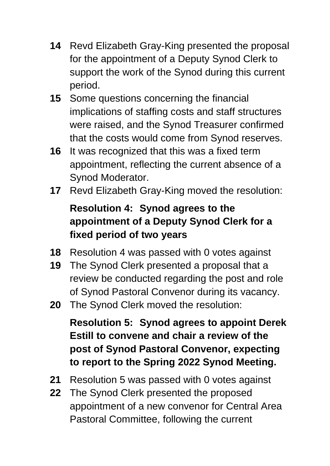- **14** Revd Elizabeth Gray-King presented the proposal for the appointment of a Deputy Synod Clerk to support the work of the Synod during this current period.
- **15** Some questions concerning the financial implications of staffing costs and staff structures were raised, and the Synod Treasurer confirmed that the costs would come from Synod reserves.
- **16** It was recognized that this was a fixed term appointment, reflecting the current absence of a Synod Moderator.
- **17** Revd Elizabeth Gray-King moved the resolution:

# **Resolution 4: Synod agrees to the appointment of a Deputy Synod Clerk for a fixed period of two years**

- **18** Resolution 4 was passed with 0 votes against
- **19** The Synod Clerk presented a proposal that a review be conducted regarding the post and role of Synod Pastoral Convenor during its vacancy.
- **20** The Synod Clerk moved the resolution:

**Resolution 5: Synod agrees to appoint Derek Estill to convene and chair a review of the post of Synod Pastoral Convenor, expecting to report to the Spring 2022 Synod Meeting.**

- **21** Resolution 5 was passed with 0 votes against
- **22** The Synod Clerk presented the proposed appointment of a new convenor for Central Area Pastoral Committee, following the current